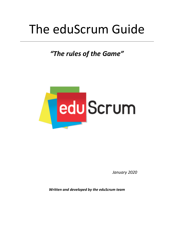# The eduScrum Guide

*"The rules of the Game"*



*January 2020*

*Written and developed by the eduScrum team*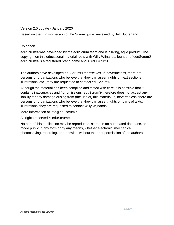#### Version 2.0 update - January 2020

Based on the English version of the Scrum guide, reviewed by Jeff Sutherland

#### Colophon

eduScrum® was developed by the eduScrum team and is a living, agile product. The copyright on this educational material rests with Willy Wijnands, founder of eduScrum®. eduScrum® is a registered brand name and © eduScrum®

The authors have developed eduScrum® themselves. If, nevertheless, there are persons or organizations who believe that they can assert rights on text sections, illustrations, etc., they are requested to contact eduScrum®.

Although the material has been compiled and tested with care, it is possible that it contains inaccuracies and / or omissions. eduScrum® therefore does not accept any liability for any damage arising from (the use of) this material. If, nevertheless, there are persons or organizations who believe that they can assert rights on parts of texts, illustrations, they are requested to contact Willy Wijnands.

More information at info@eduscrum.nl

#### All rights reserved © eduScrum®

No part of this publication may be reproduced, stored in an automated database, or made public in any form or by any means, whether electronic, mechanical, photocopying, recording, or otherwise, without the prior permission of the authors.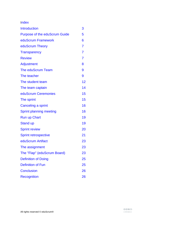Index

| <b>Introduction</b>                  | 3              |
|--------------------------------------|----------------|
| <b>Purpose of the eduScrum Guide</b> | 5              |
| eduScrum Framework                   | 6              |
| eduScrum Theory                      | 7              |
| <b>Transparency</b>                  | $\overline{7}$ |
| <b>Review</b>                        | $\overline{7}$ |
| Adjustment                           | 8              |
| The eduScrum Team                    | 9              |
| The teacher                          | 9              |
| The student team                     | 12             |
| The team captain                     | 14             |
| eduScrum Ceremonies                  | 15             |
| The sprint                           | 15             |
| Canceling a sprint                   | 16             |
| <b>Sprint planning meeting</b>       | 16             |
| <b>Run up Chart</b>                  | 19             |
| <b>Stand up</b>                      | 19             |
| <b>Sprint review</b>                 | 20             |
| <b>Sprint retrospective</b>          | 21             |
| eduScrum Artifact                    | 23             |
| The assignment                       | 23             |
| The "Flap" (eduScrum Board)          | 23             |
| <b>Definition of Doing</b>           | 25             |
| <b>Definition of Fun</b>             | 25             |
| <b>Conclusion</b>                    | 26             |
| <b>Recognition</b>                   | 26             |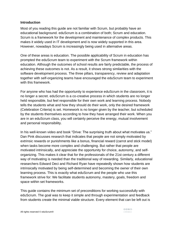#### **Introduction**

Most of you reading this guide are not familiar with Scrum, but probably have an educational background. eduScrum is a combination of both; Scrum and education. Scrum is a framework for the development and maintenance of complex products. This makes it widely used in IT development and is now widely supported in this area. However, nowadays Scrum is increasingly being used in alternative areas.

One of these areas is education. The possible applicability of Scrum in education has prompted the eduScrum team to experiment with the Scrum framework within education. Although the outcomes of school results are fairly predictable, the process of achieving these outcomes is not. As a result, it shows strong similarities with the software development process. The three pillars, transparency, review and adaptation together with self-organizing teams have encouraged the eduScrum team to experiment with this framework.

For anyone who has had the opportunity to experience eduScrum in the classroom, it is no longer a secret. eduScrum is a co-creative process in which students are no longer held responsible, but feel responsible for their own work and learning process. Nobody tells the students what and how they should do their work, only the desired framework (Celebration Criteria) is set. Homework is no longer given by the teacher, but scheduled by the students themselves according to how they have arranged their work. When you are in an eduScrum class, you will certainly perceive the energy, mutual involvement and personal responsibility.

In his well-known video and book "Drive: The surprising truth about what motivates us." Dan Pink discusses research that indicates that people are not simply motivated by extrinsic rewards or punishments like a bonus, financial reward (carrot and stick model) when tasks become more complex and challenging. But rather that people are motivated intrinsically, and appreciate the opportunity for choice, autonomy, and selforganizing. This makes it clear that for the professionals of the 21st century a different way of motivating is needed than the traditional way of rewarding. Similarly, educational researchers Edward Deci and Richard Ryan have repeatedly shown how students are intrinsically motivated by being self-determined and becoming the owner of their own learning process. This is exactly what eduScrum and the people who use this framework strive for: We facilitate students autonomy, mastery, goals, freedom and space within set frameworks.

This guide contains the minimum set of preconditions for working successfully with eduScrum. The goal was to keep it simple and through experimentation and feedback from students create the minimal viable structure. Every element that can be left out is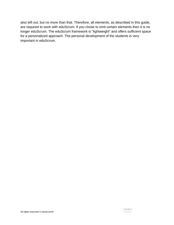also left out, but no more than that. Therefore, all elements, as described in this guide, are required to work with eduScrum. If you chose to omit certain elements then it is no longer eduScrum. The eduScrum framework is "lightweight" and offers sufficient space for a personalized approach. The personal development of the students is very important in eduScrum.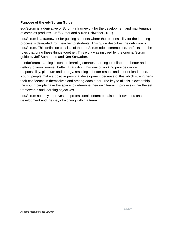#### **Purpose of the eduScrum Guide**

eduScrum is a derivative of Scrum (a framework for the development and maintenance of complex products - Jeff Sutherland & Ken Schwaber 2017).

eduScrum is a framework for guiding students where the responsibility for the learning process is delegated from teacher to students. This guide describes the definition of eduScrum. This definition consists of the eduScrum roles, ceremonies, artifacts and the rules that bring these things together. This work was inspired by the original Scrum guide by Jeff Sutherland and Ken Schwaber.

In eduScrum learning is central: learning smarter, learning to collaborate better and getting to know yourself better. In addition, this way of working provides more responsibility, pleasure and energy, resulting in better results and shorter lead times. Young people make a positive personal development because of this which strengthens their confidence in themselves and among each other. The key to all this is ownership, the young people have the space to determine their own learning process within the set frameworks and learning objectives.

eduScrum not only improves the professional content but also their own personal development and the way of working within a team.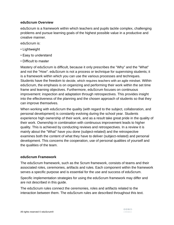#### **eduScrum Overview**

eduScrum is a framework within which teachers and pupils tackle complex, challenging problems and pursue learning goals of the highest possible value in a productive and creative manner.

eduScrum is:

- Lightweight
- Easy to understand
- Difficult to master

Mastery of eduScrum is difficult, because it only prescribes the "Why" and the "What" and not the "How". eduScrum is not a process or technique for supervising students; it is a framework within which you can use the various processes and techniques. Students have the freedom to decide, which requires teachers with an agile mindset. Within eduScrum, the emphasis is on organizing and performing their work within the set time frame and learning objectives. Furthermore, eduScrum focuses on continuous improvement: inspection and adaptation through retrospectives. This provides insight into the effectiveness of the planning and the chosen approach of students so that they can improve themselves.

When working with eduScrum the quality (with regard to the subject, collaboration, and personal development) is constantly evolving during the school year. Students experience high ownership of their work, and as a result take great pride in the quality of their work. Ownership in combination with continuous improvement leads to higher quality. This is achieved by conducting reviews and retrospectives. In a review it is mainly about the "What" have you done (subject-related) and the retrospective examines both the content of what they have to deliver (subject-related) and personal development. This concerns the cooperation, use of personal qualities of yourself and the qualities of the team.

#### **eduScrum Framework**

The eduScrum framework, such as the Scrum framework, consists of teams and their associated roles, ceremonies, artifacts and rules. Each component within the framework serves a specific purpose and is essential for the use and success of eduScrum.

Specific implementation strategies for using the eduScrum framework may differ and are not described in this guide.

The eduScrum rules connect the ceremonies, roles and artifacts related to the interaction between them. The eduScrum rules are described throughout this text.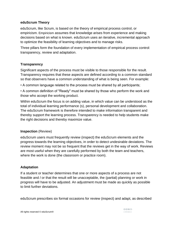#### **eduScrum Theory**

eduScrum, like Scrum, is based on the theory of empirical process control, or empiricism. Empiricism assumes that knowledge arises from experience and making decisions based on what is known. eduScrum uses an iterative, incremental approach to optimize the feasibility of learning objectives and to manage risks.

Three pillars form the foundation of every implementation of empirical process control: transparency, review and adaptation.

#### **Transparency**

Significant aspects of the process must be visible to those responsible for the result. Transparency requires that these aspects are defined according to a common standard so that observers have a common understanding of what is being seen. For example:

• A common language related to the process must be shared by all participants;

• A common definition of "Ready" must be shared by those who perform the work and those who accept the working product.

Within eduScrum the focus is on adding value, in which value can be understood as the total of individual learning performance (s), personal development and collaboration. The eduScrum framework is therefore intended to make information transparent and thereby support the learning process. Transparency is needed to help students make the right decisions and thereby maximize value.

#### **Inspection** (Review)

eduScrum users must frequently review (inspect) the eduScrum elements and the progress towards the learning objectives, in order to detect undesirable deviations. The review moment may not be so frequent that the reviews get in the way of work. Reviews are most useful when they are carefully performed by both the team and teachers, where the work is done (the classroom or practice room).

#### **Adaptation**

If a student or teacher determines that one or more aspects of a process are not feasible and / or that the result will be unacceptable, the (partial) planning or work in progress will have to be adjusted. An adjustment must be made as quickly as possible to limit further deviations.

eduScrum prescribes six formal occasions for review (inspect) and adapt, as described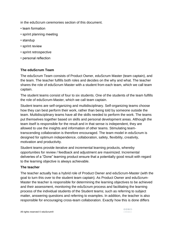in the eduScrum ceremonies section of this document.

- team formation
- sprint planning meeting
- standup
- sprint review
- sprint retrospective
- personal reflection

#### **The eduScrum Team**

The eduScrum Team consists of Product Owner, eduScrum Master (team captain), and the team. The teacher fulfills both roles and decides on the why and what. The teacher shares the role of eduScrum Master with a student from each team, which we call team captain.

The student teams consist of four to six students. One of the students of the team fulfills the role of eduScrum-Master, which we call team captain.

Student teams are self-organizing and multidisciplinary. Self-organizing teams choose how they can best perform their work, rather than being told by someone outside the team. Multidisciplinary teams have all the skills needed to perform the work. The teams put themselves together based on skills and personal development areas. Although the team itself is responsible for the result and in that sense is independent, they are allowed to use the insights and information of other teams. Stimulating teamtranscending collaboration is therefore encouraged. The team model in eduScrum is designed for optimum independence, collaboration, safety, flexibility, creativity, motivation and productivity.

Student teams provide iterative and incremental learning products, whereby opportunities for review / feedback and adjustment are maximized. Incremental deliveries of a "Done" learning product ensure that a potentially good result with regard to the learning objective is always achievable.

#### **The teacher**

The teacher actually has a hybrid role of Product Owner and eduScrum-Master (with the goal to turn this over to the student team captain). As Product Owner and eduScrum-Master the teacher is responsible for determining the learning objectives to be achieved and their assessment, monitoring the eduScrum process and facilitating the learning process of the individual students of the Student teams; such as referring to subject matter, answering questions and referring to examples. In addition, the teacher is also responsible for encouraging cross-team collaboration. Exactly how this is done differs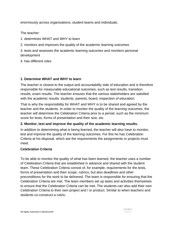enormously across organizations, student teams and individuals.

The teacher:

- 1. determines WHAT and WHY to learn
- 2. monitors and improves the quality of the academic learning outcomes

3. tests and assesses the academic learning outcomes and monitors personal development

4. has different roles

#### **1. Determine WHAT and WHY to learn**

The teacher is closest to the output and accountability side of education and is therefore responsible for measurable educational outcomes; such as test results, transition results, exam results. The teacher ensures that the various stakeholders are satisfied with the academic results: students, parents, board, inspection of education.

That is why the responsibility for WHAT and WHY is to be shared and agreed by the teacher and the students. In order to monitor the quality of the learning outcomes, the teacher will determine the Celebration Criteria prior to a period, such as the minimum score for tests, forms of presentation and their size, etc.

#### **2. Monitor, test and improve the quality of the academic learning results.**

In addition to determining what is being learned, the teacher will also have to monitor, test and improve the quality of the learning outcomes. For this he has Celebration Criteria at his disposal, which are the requirements the assignments or projects must meet.

#### **Celebration Criteria**

To be able to monitor the quality of what has been learned, the teacher uses a number of Celebration Criteria that are established in advance and shared with the student team. These Celebration Criteria consist of, for example, requirements for the tests, forms of presentation and their scope, rubrics, but also deadlines and other preconditions for the work to be delivered. The team is responsible for ensuring that the Celebration Criteria are met. The team members set up tasks and activities themselves to ensure that the Celebration Criteria can be met. The students can also add their own Celebration Criteria to their own project and / or product. Similar to when teachers and students co-construct a rubric.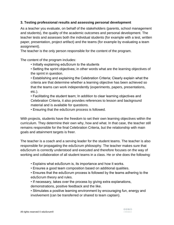#### **3. Testing professional results and assessing personal development**

As a teacher you evaluate, on behalf of the stakeholders (parents, school management and students), the quality of the academic outcomes and personal development. The teacher tests and assesses both the individual students (for example with a test, written paper, presentation, project artifact) and the teams (for example by evaluating a team assignment).

The teacher is the only person responsible for the content of the program.

The content of the program includes:

- Initially explaining eduScrum to the students
- Setting the sprint objectives; in other words what are the learning objectives of the sprint in question.

• Establishing and explaining the Celebration Criteria; Clearly explain what the criteria are that determine whether a learning objective has been achieved so that the teams can work independently (experiments, papers, presentations, etc.).

• Facilitating the student team; In addition to clear learning objectives and Celebration Criteria, it also provides references to lesson and background material and is available for questions.

• Ensuring that the eduScrum process is followed.

With projects, students have the freedom to set their own learning objectives within the curriculum. They determine their own why, how and what. In that case, the teacher still remains responsible for the final Celebration Criteria, but the relationship with main goals and attainment targets is freer.

The teacher is a coach and a serving leader for the student teams. The teacher is also responsible for propagating the eduScrum philosophy. The teacher makes sure that eduScrum is correctly understood and executed and therefore focuses on the way of working and collaboration of all student teams in a class. He or she does the following:

- Explains what eduScrum is, its importance and how it works.
- Ensures a good team composition based on additional qualities.
- Ensures that the eduScrum process is followed by the teams adhering to the eduScrum theory and rules.
- If necessary, takes over the process by giving extra explanations, demonstrations, positive feedback and the like.
- Stimulates a positive learning environment by encouraging fun, energy and involvement (can be transferred or shared to team captain).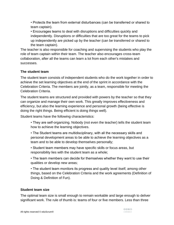• Protects the team from external disturbances (can be transferred or shared to team captain).

• Encourages teams to deal with disruptions and difficulties quickly and independently. Disruptions or difficulties that are too great for the teams to pick up independently are picked up by the teacher (can be transferred or shared to the team captain).

The teacher is also responsible for coaching and supervising the students who play the role of team captain within their team. The teacher also encourages cross-team collaboration, after all the teams can learn a lot from each other's mistakes and successes.

## **The student team**

The student team consists of independent students who do the work together in order to achieve the set learning objectives at the end of the sprint in accordance with the Celebration Criteria. The members are jointly, as a team, responsible for meeting the Celebration Criteria.

The student teams are structured and provided with powers by the teacher so that they can organize and manage their own work. This greatly improves effectiveness and efficiency, but also the learning experience and personal growth (being effective is doing the right things. Being efficient is doing things well).

Student teams have the following characteristics:

- They are self-organizing. Nobody (not even the teacher) tells the student team how to achieve the learning objectives.
- The Student teams are multidisciplinary, with all the necessary skills and personal development areas to be able to achieve the learning objectives as a team and to be able to develop themselves personally;

• Student team members may have specific skills or focus areas, but responsibility lies with the student team as a whole;

• The team members can decide for themselves whether they want to use their qualities or develop new areas;

• The student team monitors its progress and quality level itself, among other things, based on the Celebration Criteria and the work agreements (Definition of Doing & Definition of Fun).

#### **Student team size**

The optimal team size is small enough to remain workable and large enough to deliver significant work. The rule of thumb is: teams of four or five members. Less than three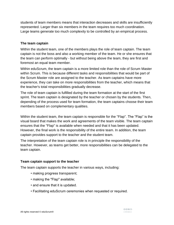students of team members means that interaction decreases and skills are insufficiently represented. Larger than six members in the team requires too much coordination. Large teams generate too much complexity to be controlled by an empirical process.

#### **The team captain**

Within the student team, one of the members plays the role of team captain. The team captain is not the boss and also a working member of the team. He or she ensures that the team can perform optimally - but without being above the team, they are first and foremost an equal team member.

Within eduScrum, the team captain is a more limited role than the role of Scrum Master within Scrum. This is because different tasks and responsibilities that would be part of the Scrum Master role are assigned to the teacher. As team captains have more experience, they can take on more responsibilities from the teacher, which means that the teacher's total responsibilities gradually decrease.

The role of team captain is fulfilled during the team formation at the start of the first sprint. The team captain is designated by the teacher or chosen by the students. Then, depending of the process used for team formation, the team captains choose their team members based on complementary qualities.

Within the student team, the team captain is responsible for the "Flap". The "Flap" is the visual board that makes the work and agreements of the team visible. The team captain ensures that the "Flap" is available when needed and that it has been updated. However, the final work is the responsibility of the entire team. In addition, the team captain provides support to the teacher and the student team.

The interpretation of the team captain role is in principle the responsibility of the teacher. However, as teams get better, more responsibilities can be delegated to the team captain.

#### **Team captain support to the teacher**

The team captain supports the teacher in various ways, including:

- making progress transparent;
- making the "Flap" available;
- and ensure that it is updated.
- Facilitating eduScrum ceremonies when requested or required.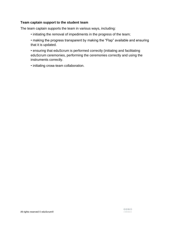#### **Team captain support to the student team**

The team captain supports the team in various ways, including:

• initiating the removal of impediments in the progress of the team;

• making the progress transparent by making the "Flap" available and ensuring that it is updated.

• ensuring that eduScrum is performed correctly (initiating and facilitating eduScrum ceremonies, performing the ceremonies correctly and using the instruments correctly.

• initiating cross-team collaboration.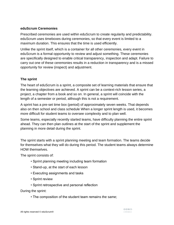#### **eduScrum Ceremonies**

Prescribed ceremonies are used within eduScrum to create regularity and predictability. eduScrum uses timeboxes during ceremonies, so that every event is limited to a maximum duration. This ensures that the time is used efficiently.

Unlike the sprint itself, which is a container for all other ceremonies, every event in eduScrum is a formal opportunity to review and adjust something. These ceremonies are specifically designed to enable critical transparency, inspection and adapt. Failure to carry out one of these ceremonies results in a reduction in transparency and is a missed opportunity for review (inspect) and adjustment.

#### **The sprint**

The heart of eduScrum is a sprint, a composite set of learning materials that ensure that the learning objectives are achieved. A sprint can be a context-rich lesson series, a project, a chapter from a book and so on. In general, a sprint will coincide with the length of a semester or period, although this is not a requirement.

A sprint has a pre-set time box (period) of approximately seven weeks. That depends also on then school and class schedule When a longer sprint length is used, it becomes more difficult for student teams to oversee complexity and to plan well.

Some teams, especially recently started teams, have difficulty planning the entire sprint ahead. They can then plan outlines at the start of the sprint and supplement the planning in more detail during the sprint.

The sprint starts with a sprint planning meeting and team formation. The teams decide for themselves what they will do during this period. The student teams always determine HOW themselves.

The sprint consists of:

- Sprint planning meeting including team formation
- Stand-up, at the start of each lesson
- Executing assignments and tasks
- Sprint review
- Sprint retrospective and personal reflection

During the sprint:

• The composition of the student team remains the same;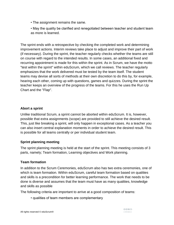- The assignment remains the same.
- May the quality be clarified and renegotiated between teacher and student team as more is learned.

The sprint ends with a retrospective by checking the completed work and determining improvement actions. Interim reviews take place to adjust and improve their part of work (if necessary). During the sprint, the teacher regularly checks whether the teams are still on course with regard to the intended results. In some cases, an additional fixed and recurring appointment is made for this within the sprint. As in Scrum, we have the motto "test within the sprint" within eduScrum, which we call reviews. The teacher regularly emphasizes that the work delivered must be tested by the team itself. The student teams may devise all sorts of methods at their own discretion to do this by, for example, hearing each other, coming up with questions, games and quizzes. During the sprint the teacher keeps an overview of the progress of the teams. For this he uses the Run Up Chart and the "Flap".

#### **Abort a sprint**

Unlike traditional Scrum, a sprint cannot be aborted within eduScrum. It is, however, possible that extra assignments (scope) are provided to still achieve the desired result. This, just like breaking a sprint, will only happen in exceptional cases. As a teacher you can also insert central explanation moments in order to achieve the desired result. This is possible for all teams centrally or per individual student team.

#### **Sprint planning meeting**

The sprint planning meeting is held at the start of the sprint. This meeting consists of 3 parts, namely; Team formation, Learning objectives and Work planning.

#### **Team formation**

In addition to the Scrum Ceremonies, eduScrum also has two extra ceremonies, one of which is team formation. Within eduScrum, careful team formation based on qualities and skills is a precondition for better learning performance. The work that needs to be done is diverse and assumes that the team must have as many qualities, knowledge and skills as possible

The following criteria are important to arrive at a good composition of teams:

• qualities of team members are complementary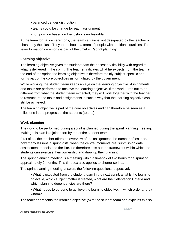- balanced gender distribution
- teams could be change for each assignment
- composition based on friendship is undesirable

At the team formation ceremony, the team captain is first designated by the teacher or chosen by the class. They then choose a team of people with additional qualities. The team formation ceremony is part of the timebox "sprint planning".

#### **Learning objective**

The learning objective gives the student team the necessary flexibility with regard to what is delivered in the sprint. The teacher indicates what he expects from the team at the end of the sprint; the learning objective is therefore mainly subject-specific and forms part of the core objectives as formulated by the government.

While working, the student team keeps an eye on the learning objective. Assignments and tasks are performed to achieve the learning objective. If the work turns out to be different from what the student team expected, they will work together with the teacher to restructure the tasks and assignments in such a way that the learning objective can still be achieved.

The learning objective is part of the core objectives and can therefore be seen as a milestone in the progress of the students (teams).

#### **Work planning**

The work to be performed during a sprint is planned during the sprint planning meeting. Making this plan is a joint effort by the entire student team.

First of all, the teacher offers an overview of the assignment, the number of lessons, how many lessons a sprint lasts, when the central moments are, submission date, assessment models and the like. He therefore sets out the framework within which the students can exercise their ownership and draw up their planning.

The sprint planning meeting is a meeting within a timebox of two hours for a sprint of approximately 2 months. This timebox also applies to shorter sprints.

The sprint planning meeting answers the following questions respectively:

- What is expected from the student team in the next sprint; what is the learning objective, which subject matter is treated, what are the Celebration Criteria and which planning dependencies are there?
- What needs to be done to achieve the learning objective, in which order and by whom?

The teacher presents the learning objective (s) to the student team and explains this so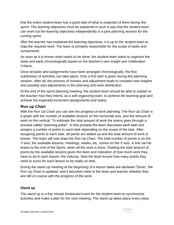that the entire student team has a good idea of what is expected of them during this sprint. The learning objectives must be explained in such a way that the student team can work out the learning objectives independently in a joint planning session for the coming sprint.

After the teacher has explained the learning objectives, it is up to the student team to map the required work. The team is primarily responsible for the scope of tasks and components.

As soon as it is known what needs to be done, the student team starts to organize the tasks and parts chronologically based on the teacher's own insight and Celebration Criteria.

Once all tasks and assignments have been arranged chronologically, the first subdivision of activities can take place. Only a first start is given during this planning session. After all, the process of reviews and adjustment leads to constant new insights and possibly also adjustments in the planning and work distribution.

At the end of the sprint planning meeting, the student team should be able to explain to the teacher how they intend, as a self-organizing team, to achieve the learning goal and achieve the expected increment (assignments and tasks).

# **Run up Chart**

With the Run Up Chart you can see the progress of work planning. The Run Up Chart is a graph with the number of available lessons on the horizontal axis, and the amount of work on the vertical. To estimate the total amount of work the teams goes through a process called "planning poker". In this process the team discusses each task and assigns a number of points to each task depending on the scope of the task. After assigning points to each task, all points are added up and the total amount of work is known. The team will now draw the Run Up Chart. The total number of points is on the Y-axis, the available lessons, meetings, weeks, etc. comes on the X axis. A line can be drawn to the end of the Sprint, when all the work is done. Dividing the total amount of points by the available lessons gives the team and indication of how much work they have to do in each lesson; the Velocity. Now the team knows how many points they need to score for each lesson to be ready on time.

During the stand up meeting at the beginning of a lesson tasks are declared "Done", the Run Up Chart is updated, and it becomes clear to the team and teacher whether they are still on course with the progress of the work.

# **Stand up**

The stand up is a five minute timeboxed event for the student team to synchronize activities and make a plan for the next meeting. The stand up takes place every class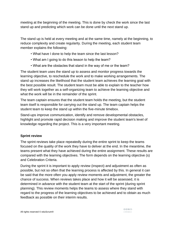meeting at the beginning of the meeting. This is done by check the work since the last stand up and predicting which work can be done until the next stand up.

The stand up is held at every meeting and at the same time, namely at the beginning, to reduce complexity and create regularity. During the meeting, each student team member explains the following:

- What have I done to help the team since the last lesson?
- What am I going to do this lesson to help the team?
- What are the obstacles that stand in the way of me or the team?

The student team uses the stand up to assess and monitor progress towards the learning objective, to reschedule the work and to make working arrangements. The stand up increases the likelihood that the student team achieves the learning goal with the best possible result. The student team must be able to explain to the teacher how they will work together as a self-organizing team to achieve the learning objective and what the work will be in the remainder of the sprint.

The team captain ensures that the student team holds the meeting, but the student team itself is responsible for carrying out the stand up. The team captain helps the student team to keep the stand up within the five-minute timebox.

Stand-ups improve communication, identify and remove developmental obstacles, highlight and promote rapid decision making and improve the student team's level of knowledge regarding the project. This is a very important meeting.

# **Sprint review**

The sprint reviews take place repeatedly during the entire sprint to keep the teams focused on the quality of the work they have to deliver at the end. In the meantime, the teams present what they have achieved during the entire assignment. These results are compared with the learning objectives. The form depends on the learning objective (s) and Celebration Criteria.

During the sprint it is important to apply review (inspect) and adjustment as often as possible, but not so often that the learning process is affected by this. In general it can be said that the more often you apply review moments and adjustment, the greater the chance of success. When reviews takes place and how it will be assessed, it is determined in advance with the student team at the start of the sprint (during sprint planning). This review moments helps the teams to assess where they stand with regard to the progress of the learning objectives to be achieved and to obtain as much feedback as possible on their interim results.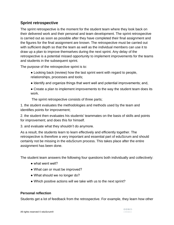# **Sprint retrospective**

The sprint retrospective is the moment for the student team where they look back on their delivered work and their personal and team development. The sprint retrospective is carried out as soon as possible after they have completed their final assignment and the figures for the final assignment are known. The retrospective must be carried out with sufficient depth so that the team as well as the individual members can use it to draw up a plan to improve themselves during the next sprint. Any delay of the retrospective is a potential missed opportunity to implement improvements for the teams and students in the subsequent sprint.

The purpose of the retrospective sprint is to:

- Looking back (review) how the last sprint went with regard to people, relationships, processes and tools;
- Identify and organize things that went well and potential improvements; and,
- Create a plan to implement improvements to the way the student team does its work.

The sprint retrospective consists of three parts;

1. the student evaluates the methodologies and methods used by the team and identifies points for improvement;

2. the student then evaluates his students' teammates on the basis of skills and points for improvement; and does this for himself.

3. and evaluate what they shouldn't do anymore.

As a result, the students learn to learn effectively and efficiently together. The retrospective is therefore a very important and essential part of eduScrum and should certainly not be missing in the eduScrum process. This takes place after the entire assignment has been done.

The student team answers the following four questions both individually and collectively:

- what went well?
- What can or must be improved?
- What should we no longer do?
- Which positive actions will we take with us to the next sprint?

# **Personal reflection**

Students get a lot of feedback from the retrospective. For example, they learn how other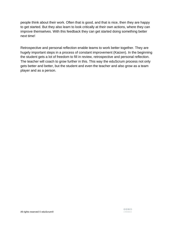people think about their work. Often that is good, and that is nice, then they are happy to get started. But they also learn to look critically at their own actions, where they can improve themselves. With this feedback they can get started doing something better next time!

Retrospective and personal reflection enable teams to work better together. They are hugely important steps in a process of constant improvement (Kaizen). In the beginning the student gets a lot of freedom to fill in review, retrospective and personal reflection. The teacher will coach to grow further in this. This way the eduScrum process not only gets better and better, but the student and even the teacher and also grow as a team player and as a person.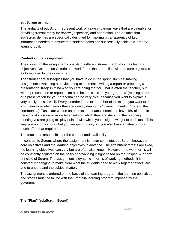#### **eduScrum artifact**

The artifacts of eduScrum represent work or value in various ways that are valuable for providing transparency for review (inspection) and adaptation. The artifacts that eduScrum defines are specifically designed for maximum transparency of key information needed to ensure that student teams can successfully achieve a "Ready" learning goal.

## **Content of the assignment**

The content of the assignment consists of different stories. Each story has learning objectives, Celebration Criteria and work forms that are in line with the core objectives as formulated by the government.

The "stories" are sub-topics that you have to do in the sprint, such as: making assignments, watching a movie, doing experiments, writing a report or preparing a presentation. Keep in mind who you are doing that for. That is often the teacher, but with a presentation or report it can also be 'the class' or 'your grandma' (making a report or a presentation for your grandma can be very nice, because you want to explain it very easily but still well). Every disorder leads to a number of tasks that you want to do. You determine which tasks that are exactly during the "planning meeting" (one of the ceremonies). Tasks are written on post-its and teams sometimes have 150 of them in the work stock (one or more A4 sheets on which they are stuck). In the planning meeting you are going to "play points" with which you assign a weight to each task. This way you not only know what you are going to do, but you also have an idea of how much effort that requires.

The teacher is responsible for the content and availability.

In contrast to Scrum, where the assignment is never complete, eduScrum knows the core objectives and the learning objectives in advance. The attainment targets are fixed, the learning objectives can vary but are often also known. However, the work forms will be constantly adjusted on the basis of advancing insight based on the "inspect & adapt" principle of Scrum. The assignment is dynamic in terms of working methods: it is constantly changing to make clear what the students need to work together effectively and to understand the subject matter.

The assignment is ordered on the basis of the learning program, the learning objectives and stories must be in line with the umbrella learning program imposed by the government.

# **The "Flap" (eduScrum Board)**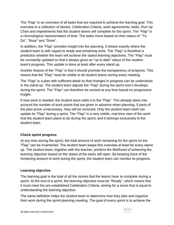The "Flap" is an overview of all tasks that are required to achieve the learning goal. This overview is a collection of stories, Celebration Criteria, work agreements, tasks, Run Up Chart and impediments that the student teams will complete for the sprint. The "Flap" is a chronological representation of time. The tasks move based on their status of: "To Do", "Busy" and "Done".

In addition, the "Flap" provides insight into the planning. It shows exactly where the student team is with regard to ready and remaining work. The "Flap" is therefore a prediction whether the team will achieve the stated learning objectives. The "Flap" must be constantly updated so that it always gives an "up to date" status of the student team's progress. This update is done at least after every stand up.

Another feature of the "Flap" is that it should promote the transparency of progress. This means that the "Flap" must be visible to all student teams during every meeting.

The "Flap" is a plan with sufficient detail so that changes in progress can be understood in the stand up. The student team adjusts the "Flap" during the sprint and it develops during the sprint. The "Flap" can therefore be revised at any time based on progressive insight.

If new work is needed, the student team adds it to the "Flap". This already takes into account the number of work points that are given in advance when planning. If parts of the plan prove unnecessary, they will be removed. Only the student team itself can update its "Flap" during a sprint. The "Flap" is a very visible, real-time view of the work that the student team plans to do during the sprint, and it belongs exclusively to the student team.

# **Check sprint progress**

At any time during the sprint, the total amount of work remaining for the sprint on the "Flap" can be inventoried. The student team keeps this overview at least for every stand up. The student team, together with the teacher, predicts the likelihood of achieving the learning objective based on the status of the tasks still open. By keeping track of the remaining amount of work during the sprint, the student team can monitor its progress.

#### **Learning objective**

The learning goal is the total of all the stories that the teams have to complete during a sprint. At the end of a sprint, the learning objective must be "Ready", which means that it must meet the pre-established Celebration Criteria, aiming for a score that is equal to understanding the learning objective.

The same definition helps the student team to determine how they plan and organize their work during the sprint planning meeting. The goal of every sprint is to achieve the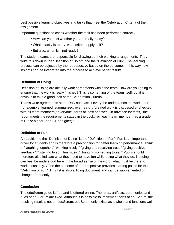best possible learning objectives and tasks that meet the Celebration Criteria of the assignment.

Important questions to check whether the task has been performed correctly

- How can you test whether you are really ready?
- What exactly is ready, what criteria apply to it?
- But also: when is it not ready?

The student teams are responsible for drawing up their working arrangements. They write this down in the "Definition of Doing" and the "Definition of Fun". The learning process can be adjusted by the retrospective based on the outcome. In this way new insights can be integrated into the process to achieve better results.

# **Definition of Doing**

Definition of Doing are actually work agreements within the team. How are you going to ensure that the work is really finished? This is something of the team itself, but it is obvious to take a good look at the Celebration Criteria.

Teams write agreements at the DoD such as: 'if everyone understands the work done (for example: learned, summarized, overheard)', 'created work is discussed or checked with all team members',' everyone learns at least one week in advance for tests, "the report meets the requirements stated in the book," or "each team member has a grade of 6.7 or higher (or a B+ or higher)."

# **Definition of Fun**

An addition to the "Definition of Doing" is the "Definition of Fun". Fun is an important driver for students and is therefore a precondition for better learning performance. Think of "laughing together," "working nicely," "giving and receiving trust," "giving positive feedback," "listening to soft, fun music," "bringing something to eat." Pupils should therefore also indicate what they need to have fun while doing what they do. Needing can best be understood here in the broad sense of the word, what must be there to work pleasantly. Often the outcome of a retrospective provides starting points for the "Definition of Fun". This list is also a 'living document' and can be supplemented or changed frequently.

# **Conclusion**

The eduScrum guide is free and is offered online. The roles, artifacts, ceremonies and rules of eduScrum are fixed. Although it is possible to implement parts of eduScrum, the resulting result is not an eduScrum. eduScrum only exists as a whole and functions well